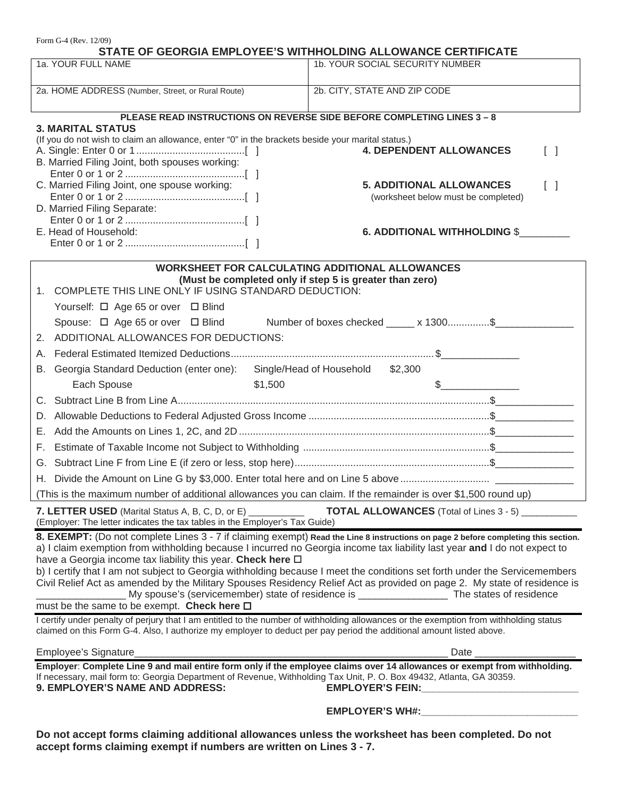| Form G-4 (Rev. 12/09)<br>STATE OF GEORGIA EMPLOYEE'S WITHHOLDING ALLOWANCE CERTIFICATE                                                                                                                                                                                               |                                                                                                                          |
|--------------------------------------------------------------------------------------------------------------------------------------------------------------------------------------------------------------------------------------------------------------------------------------|--------------------------------------------------------------------------------------------------------------------------|
| 1a. YOUR FULL NAME                                                                                                                                                                                                                                                                   | 1b. YOUR SOCIAL SECURITY NUMBER                                                                                          |
|                                                                                                                                                                                                                                                                                      |                                                                                                                          |
| 2a. HOME ADDRESS (Number, Street, or Rural Route)                                                                                                                                                                                                                                    | 2b. CITY, STATE AND ZIP CODE                                                                                             |
| PLEASE READ INSTRUCTIONS ON REVERSE SIDE BEFORE COMPLETING LINES 3 - 8                                                                                                                                                                                                               |                                                                                                                          |
| <b>3. MARITAL STATUS</b>                                                                                                                                                                                                                                                             |                                                                                                                          |
| (If you do not wish to claim an allowance, enter "0" in the brackets beside your marital status.)                                                                                                                                                                                    |                                                                                                                          |
| B. Married Filing Joint, both spouses working:                                                                                                                                                                                                                                       | <b>4. DEPENDENT ALLOWANCES</b><br>$\begin{bmatrix} \end{bmatrix}$                                                        |
|                                                                                                                                                                                                                                                                                      |                                                                                                                          |
| C. Married Filing Joint, one spouse working:                                                                                                                                                                                                                                         | <b>5. ADDITIONAL ALLOWANCES</b><br>$\begin{bmatrix} \end{bmatrix}$                                                       |
| D. Married Filing Separate:                                                                                                                                                                                                                                                          | (worksheet below must be completed)                                                                                      |
|                                                                                                                                                                                                                                                                                      |                                                                                                                          |
| E. Head of Household:                                                                                                                                                                                                                                                                | <b>6. ADDITIONAL WITHHOLDING \$</b>                                                                                      |
|                                                                                                                                                                                                                                                                                      |                                                                                                                          |
| <b>WORKSHEET FOR CALCULATING ADDITIONAL ALLOWANCES</b>                                                                                                                                                                                                                               |                                                                                                                          |
| (Must be completed only if step 5 is greater than zero)<br>1. COMPLETE THIS LINE ONLY IF USING STANDARD DEDUCTION:                                                                                                                                                                   |                                                                                                                          |
|                                                                                                                                                                                                                                                                                      |                                                                                                                          |
| Yourself: □ Age 65 or over □ Blind                                                                                                                                                                                                                                                   |                                                                                                                          |
| Spouse: □ Age 65 or over □ Blind Number of boxes checked _____ x 1300\$                                                                                                                                                                                                              |                                                                                                                          |
| 2. ADDITIONAL ALLOWANCES FOR DEDUCTIONS:                                                                                                                                                                                                                                             |                                                                                                                          |
|                                                                                                                                                                                                                                                                                      |                                                                                                                          |
| Georgia Standard Deduction (enter one): Single/Head of Household \$2,300<br>В.                                                                                                                                                                                                       |                                                                                                                          |
| Each Spouse<br>\$1,500                                                                                                                                                                                                                                                               | $\begin{array}{c c} \n\end{array}$                                                                                       |
|                                                                                                                                                                                                                                                                                      |                                                                                                                          |
| D.                                                                                                                                                                                                                                                                                   |                                                                                                                          |
|                                                                                                                                                                                                                                                                                      |                                                                                                                          |
|                                                                                                                                                                                                                                                                                      |                                                                                                                          |
|                                                                                                                                                                                                                                                                                      |                                                                                                                          |
| (This is the maximum number of additional allowances you can claim. If the remainder is over \$1,500 round up)                                                                                                                                                                       |                                                                                                                          |
|                                                                                                                                                                                                                                                                                      |                                                                                                                          |
| <b>TOTAL ALLOWANCES</b> (Total of Lines 3 - 5) __________<br><b>7. LETTER USED</b> (Marital Status A, B, C, D, or E) ___________<br>(Employer: The letter indicates the tax tables in the Employer's Tax Guide)                                                                      |                                                                                                                          |
| 8. EXEMPT: (Do not complete Lines 3 - 7 if claiming exempt) Read the Line 8 instructions on page 2 before completing this section.                                                                                                                                                   |                                                                                                                          |
| a) I claim exemption from withholding because I incurred no Georgia income tax liability last year and I do not expect to                                                                                                                                                            |                                                                                                                          |
| have a Georgia income tax liability this year. Check here D<br>b) I certify that I am not subject to Georgia withholding because I meet the conditions set forth under the Servicemembers                                                                                            |                                                                                                                          |
|                                                                                                                                                                                                                                                                                      | Civil Relief Act as amended by the Military Spouses Residency Relief Act as provided on page 2. My state of residence is |
|                                                                                                                                                                                                                                                                                      | My spouse's (servicemember) state of residence is ______________________ The states of residence                         |
| must be the same to be exempt. Check here $\square$                                                                                                                                                                                                                                  |                                                                                                                          |
| I certify under penalty of perjury that I am entitled to the number of withholding allowances or the exemption from withholding status<br>claimed on this Form G-4. Also, I authorize my employer to deduct per pay period the additional amount listed above.                       |                                                                                                                          |
| Employee's Signature_                                                                                                                                                                                                                                                                | Date $\_\_\_\_\_\_\$                                                                                                     |
| Employer: Complete Line 9 and mail entire form only if the employee claims over 14 allowances or exempt from withholding.<br>If necessary, mail form to: Georgia Department of Revenue, Withholding Tax Unit, P. O. Box 49432, Atlanta, GA 30359.<br>9. EMPLOYER'S NAME AND ADDRESS: |                                                                                                                          |
|                                                                                                                                                                                                                                                                                      |                                                                                                                          |

**Do not accept forms claiming additional allowances unless the worksheet has been completed. Do not accept forms claiming exempt if numbers are written on Lines 3 - 7.**